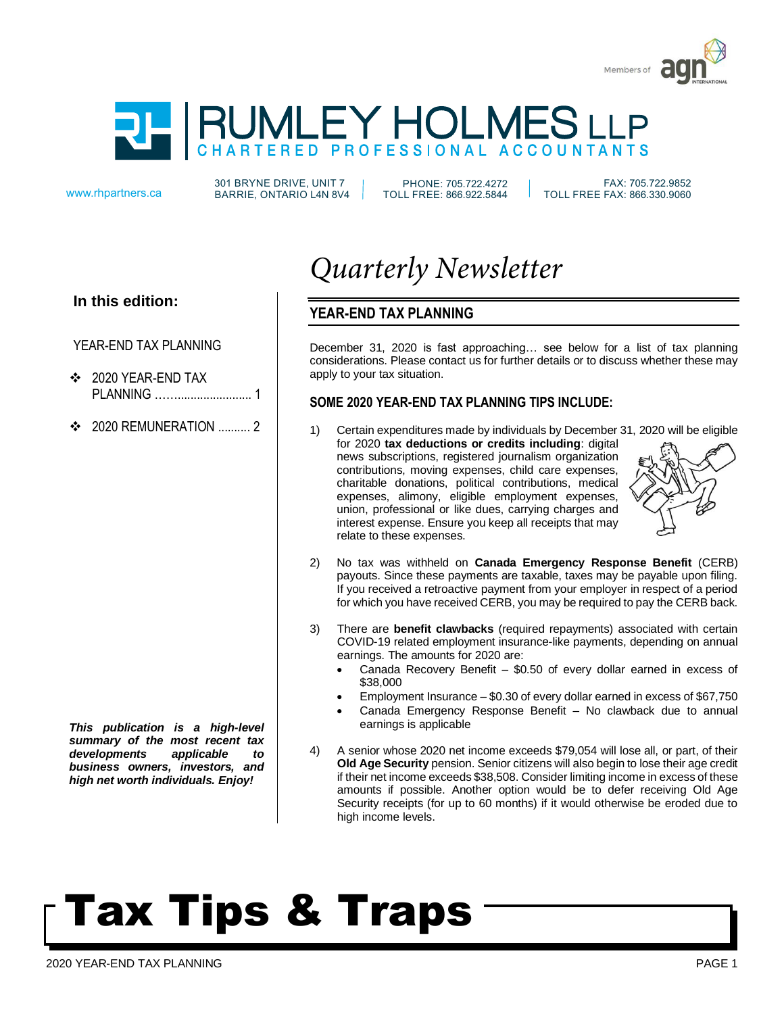



301 BRYNE DRIVE, UNIT 7 www.rhpartners.ca BARRIE, ONTARIO L4N 8V4

PHONE: 705.722.4272 TOLL FREE: 866.922.5844

 FAX: 705.722.9852 TOLL FREE FAX: 866.330.9060

#### **In this edition:**

#### YEAR-END TAX PLANNING

- ❖ 2020 YEAR-END TAX PLANNING ……....................... 1
- $\div$  2020 REMUNERATION 2

*This publication is a high-level summary of the most recent tax developments applicable to business owners, investors, and high net worth individuals. Enjoy!*

### *Quarterly Newsletter*

### **YEAR-END TAX PLANNING**

December 31, 2020 is fast approaching… see below for a list of tax planning considerations. Please contact us for further details or to discuss whether these may apply to your tax situation.

#### **SOME 2020 YEAR-END TAX PLANNING TIPS INCLUDE:**

1) Certain expenditures made by individuals by December 31, 2020 will be eligible for 2020 **tax deductions or credits including**: digital news subscriptions, registered journalism organization contributions, moving expenses, child care expenses, charitable donations, political contributions, medical expenses, alimony, eligible employment expenses, union, professional or like dues, carrying charges and interest expense. Ensure you keep all receipts that may relate to these expenses.



- 2) No tax was withheld on **Canada Emergency Response Benefit** (CERB) payouts. Since these payments are taxable, taxes may be payable upon filing. If you received a retroactive payment from your employer in respect of a period for which you have received CERB, you may be required to pay the CERB back.
- 3) There are **benefit clawbacks** (required repayments) associated with certain COVID-19 related employment insurance-like payments, depending on annual earnings. The amounts for 2020 are:
	- Canada Recovery Benefit \$0.50 of every dollar earned in excess of \$38,000
	- Employment Insurance  $-$  \$0.30 of every dollar earned in excess of \$67,750
	- Canada Emergency Response Benefit No clawback due to annual earnings is applicable
- 4) A senior whose 2020 net income exceeds \$79,054 will lose all, or part, of their **Old Age Security** pension. Senior citizens will also begin to lose their age credit if their net income exceeds \$38,508. Consider limiting income in excess of these amounts if possible. Another option would be to defer receiving Old Age Security receipts (for up to 60 months) if it would otherwise be eroded due to high income levels.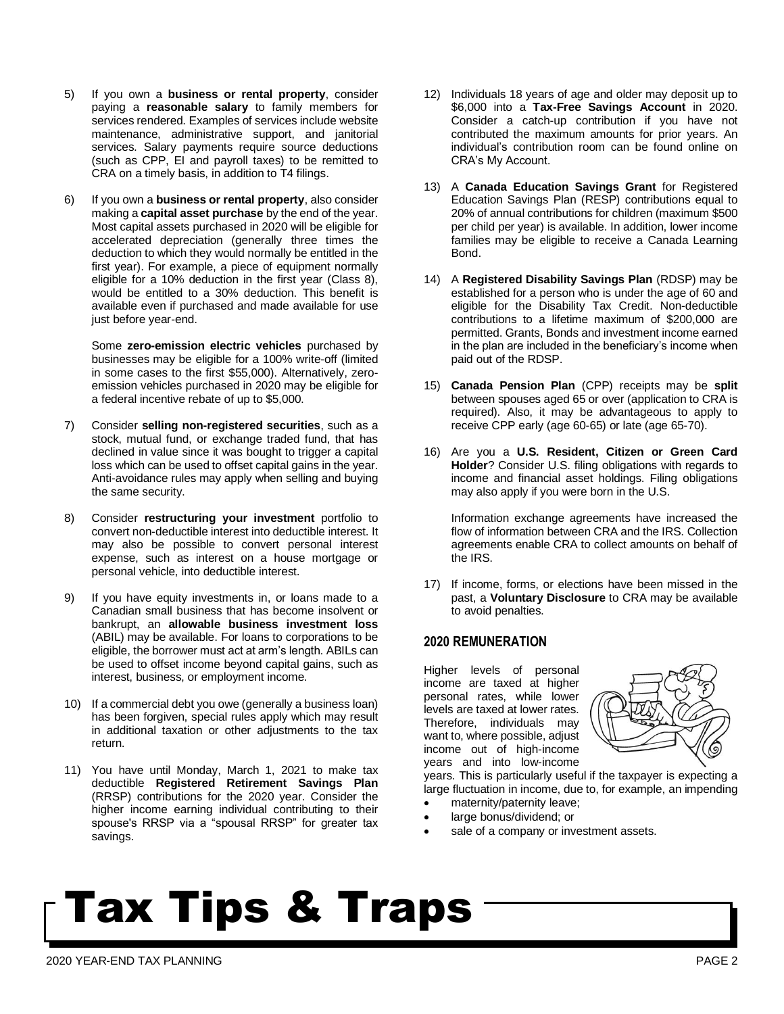- 5) If you own a **business or rental property**, consider paying a **reasonable salary** to family members for services rendered. Examples of services include website maintenance, administrative support, and janitorial services. Salary payments require source deductions (such as CPP, EI and payroll taxes) to be remitted to CRA on a timely basis, in addition to T4 filings.
- 6) If you own a **business or rental property**, also consider making a **capital asset purchase** by the end of the year. Most capital assets purchased in 2020 will be eligible for accelerated depreciation (generally three times the deduction to which they would normally be entitled in the first year). For example, a piece of equipment normally eligible for a 10% deduction in the first year (Class 8), would be entitled to a 30% deduction. This benefit is available even if purchased and made available for use just before year-end.

Some **zero-emission electric vehicles** purchased by businesses may be eligible for a 100% write-off (limited in some cases to the first \$55,000). Alternatively, zeroemission vehicles purchased in 2020 may be eligible for a federal incentive rebate of up to \$5,000.

- 7) Consider **selling non-registered securities**, such as a stock, mutual fund, or exchange traded fund, that has declined in value since it was bought to trigger a capital loss which can be used to offset capital gains in the year. Anti-avoidance rules may apply when selling and buying the same security.
- 8) Consider **restructuring your investment** portfolio to convert non-deductible interest into deductible interest. It may also be possible to convert personal interest expense, such as interest on a house mortgage or personal vehicle, into deductible interest.
- 9) If you have equity investments in, or loans made to a Canadian small business that has become insolvent or bankrupt, an **allowable business investment loss** (ABIL) may be available. For loans to corporations to be eligible, the borrower must act at arm's length. ABILs can be used to offset income beyond capital gains, such as interest, business, or employment income.
- 10) If a commercial debt you owe (generally a business loan) has been forgiven, special rules apply which may result in additional taxation or other adjustments to the tax return.
- 11) You have until Monday, March 1, 2021 to make tax deductible **Registered Retirement Savings Plan** (RRSP) contributions for the 2020 year. Consider the higher income earning individual contributing to their spouse's RRSP via a "spousal RRSP" for greater tax savings.
- 12) Individuals 18 years of age and older may deposit up to \$6,000 into a **Tax-Free Savings Account** in 2020. Consider a catch-up contribution if you have not contributed the maximum amounts for prior years. An individual's contribution room can be found online on CRA's My Account.
- 13) A **Canada Education Savings Grant** for Registered Education Savings Plan (RESP) contributions equal to 20% of annual contributions for children (maximum \$500 per child per year) is available. In addition, lower income families may be eligible to receive a Canada Learning Bond.
- 14) A **Registered Disability Savings Plan** (RDSP) may be established for a person who is under the age of 60 and eligible for the Disability Tax Credit. Non-deductible contributions to a lifetime maximum of \$200,000 are permitted. Grants, Bonds and investment income earned in the plan are included in the beneficiary's income when paid out of the RDSP.
- 15) **Canada Pension Plan** (CPP) receipts may be **split** between spouses aged 65 or over (application to CRA is required). Also, it may be advantageous to apply to receive CPP early (age 60-65) or late (age 65-70).
- 16) Are you a **U.S. Resident, Citizen or Green Card Holder**? Consider U.S. filing obligations with regards to income and financial asset holdings. Filing obligations may also apply if you were born in the U.S.

Information exchange agreements have increased the flow of information between CRA and the IRS. Collection agreements enable CRA to collect amounts on behalf of the IRS.

17) If income, forms, or elections have been missed in the past, a **Voluntary Disclosure** to CRA may be available to avoid penalties.

#### **2020 REMUNERATION**

Higher levels of personal income are taxed at higher personal rates, while lower levels are taxed at lower rates. Therefore, individuals may want to, where possible, adjust income out of high-income years and into low-income



years. This is particularly useful if the taxpayer is expecting a large fluctuation in income, due to, for example, an impending

- maternity/paternity leave;
- large bonus/dividend; or
- sale of a company or investment assets.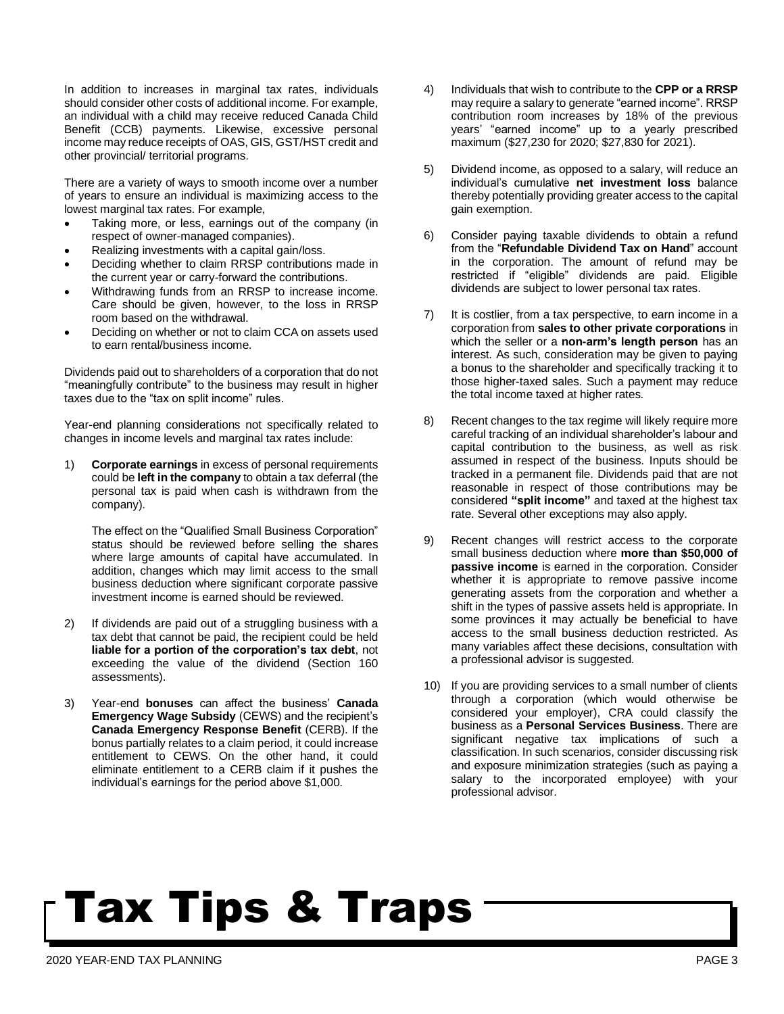In addition to increases in marginal tax rates, individuals should consider other costs of additional income. For example, an individual with a child may receive reduced Canada Child Benefit (CCB) payments. Likewise, excessive personal income may reduce receipts of OAS, GIS, GST/HST credit and other provincial/ territorial programs.

There are a variety of ways to smooth income over a number of years to ensure an individual is maximizing access to the lowest marginal tax rates. For example,

- Taking more, or less, earnings out of the company (in respect of owner-managed companies).
- Realizing investments with a capital gain/loss.
- Deciding whether to claim RRSP contributions made in the current year or carry-forward the contributions.
- Withdrawing funds from an RRSP to increase income. Care should be given, however, to the loss in RRSP room based on the withdrawal.
- Deciding on whether or not to claim CCA on assets used to earn rental/business income.

Dividends paid out to shareholders of a corporation that do not "meaningfully contribute" to the business may result in higher taxes due to the "tax on split income" rules.

Year-end planning considerations not specifically related to changes in income levels and marginal tax rates include:

1) **Corporate earnings** in excess of personal requirements could be **left in the company** to obtain a tax deferral (the personal tax is paid when cash is withdrawn from the company).

The effect on the "Qualified Small Business Corporation" status should be reviewed before selling the shares where large amounts of capital have accumulated. In addition, changes which may limit access to the small business deduction where significant corporate passive investment income is earned should be reviewed.

- 2) If dividends are paid out of a struggling business with a tax debt that cannot be paid, the recipient could be held **liable for a portion of the corporation's tax debt**, not exceeding the value of the dividend (Section 160 assessments).
- 3) Year-end **bonuses** can affect the business' **Canada Emergency Wage Subsidy** (CEWS) and the recipient's **Canada Emergency Response Benefit** (CERB). If the bonus partially relates to a claim period, it could increase entitlement to CEWS. On the other hand, it could eliminate entitlement to a CERB claim if it pushes the individual's earnings for the period above \$1,000.
- 4) Individuals that wish to contribute to the **CPP or a RRSP** may require a salary to generate "earned income". RRSP contribution room increases by 18% of the previous years' "earned income" up to a yearly prescribed maximum (\$27,230 for 2020; \$27,830 for 2021).
- 5) Dividend income, as opposed to a salary, will reduce an individual's cumulative **net investment loss** balance thereby potentially providing greater access to the capital gain exemption.
- 6) Consider paying taxable dividends to obtain a refund from the "**Refundable Dividend Tax on Hand**" account in the corporation. The amount of refund may be restricted if "eligible" dividends are paid. Eligible dividends are subject to lower personal tax rates.
- 7) It is costlier, from a tax perspective, to earn income in a corporation from **sales to other private corporations** in which the seller or a **non-arm's length person** has an interest. As such, consideration may be given to paying a bonus to the shareholder and specifically tracking it to those higher-taxed sales. Such a payment may reduce the total income taxed at higher rates.
- 8) Recent changes to the tax regime will likely require more careful tracking of an individual shareholder's labour and capital contribution to the business, as well as risk assumed in respect of the business. Inputs should be tracked in a permanent file. Dividends paid that are not reasonable in respect of those contributions may be considered **"split income"** and taxed at the highest tax rate. Several other exceptions may also apply.
- 9) Recent changes will restrict access to the corporate small business deduction where **more than \$50,000 of passive income** is earned in the corporation. Consider whether it is appropriate to remove passive income generating assets from the corporation and whether a shift in the types of passive assets held is appropriate. In some provinces it may actually be beneficial to have access to the small business deduction restricted. As many variables affect these decisions, consultation with a professional advisor is suggested.
- 10) If you are providing services to a small number of clients through a corporation (which would otherwise be considered your employer), CRA could classify the business as a **Personal Services Business**. There are significant negative tax implications of such a classification. In such scenarios, consider discussing risk and exposure minimization strategies (such as paying a salary to the incorporated employee) with your professional advisor.